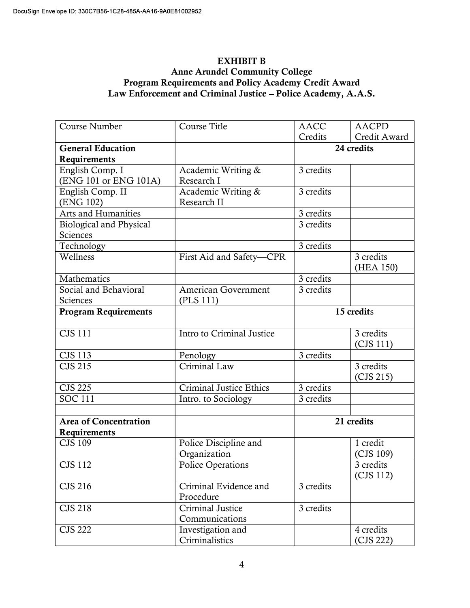## EXHIBIT B Anne Arundel Community College Program Requirements and Policy Academy Credit Award Law Enforcement and Criminal Justice – Police Academy, A.A.S.

| Course Number                | <b>Course Title</b>            | <b>AACC</b> | <b>AACPD</b> |
|------------------------------|--------------------------------|-------------|--------------|
|                              |                                | Credits     | Credit Award |
| <b>General Education</b>     |                                | 24 credits  |              |
| Requirements                 |                                |             |              |
| English Comp. I              | Academic Writing &             | 3 credits   |              |
| (ENG 101 or ENG 101A)        | Research I                     |             |              |
| English Comp. II             | Academic Writing &             | 3 credits   |              |
| (ENG 102)                    | Research II                    |             |              |
| Arts and Humanities          |                                | 3 credits   |              |
| Biological and Physical      |                                | 3 credits   |              |
| Sciences                     |                                |             |              |
| Technology                   |                                | 3 credits   |              |
| Wellness                     | First Aid and Safety-CPR       |             | 3 credits    |
|                              |                                |             | (HEA 150)    |
| Mathematics                  |                                | 3 credits   |              |
| Social and Behavioral        | American Government            | 3 credits   |              |
| Sciences                     | (PLS 111)                      |             |              |
| <b>Program Requirements</b>  |                                | 15 credits  |              |
|                              |                                |             |              |
| <b>CJS 111</b>               | Intro to Criminal Justice      |             | 3 credits    |
|                              |                                |             | (CJS 111)    |
| <b>CJS 113</b>               | Penology                       | 3 credits   |              |
| <b>CJS 215</b>               | Criminal Law                   |             | 3 credits    |
|                              |                                |             | (CJS 215)    |
| <b>CJS 225</b>               | <b>Criminal Justice Ethics</b> | 3 credits   |              |
| <b>SOC 111</b>               | Intro. to Sociology            | 3 credits   |              |
|                              |                                |             |              |
| <b>Area of Concentration</b> |                                | 21 credits  |              |
| Requirements                 |                                |             |              |
| <b>CJS 109</b>               | Police Discipline and          |             | 1 credit     |
|                              | Organization                   |             | (CJS 109)    |
| <b>CJS 112</b>               | Police Operations              |             | 3 credits    |
|                              |                                |             | (CJS 112)    |
| CJS 216                      | Criminal Evidence and          | 3 credits   |              |
|                              | Procedure                      |             |              |
| <b>CJS 218</b>               | Criminal Justice               | 3 credits   |              |
|                              | Communications                 |             |              |
| <b>CJS 222</b>               | Investigation and              |             | 4 credits    |
|                              | Criminalistics                 |             | (CJS 222)    |